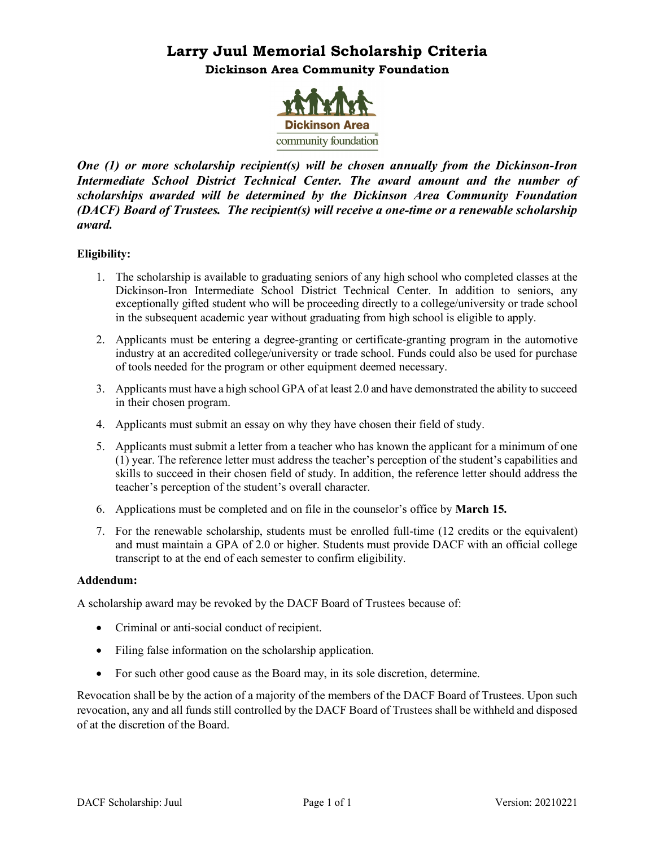# **Larry Juul Memorial Scholarship Criteria Dickinson Area Community Foundation**



*One (1) or more scholarship recipient(s) will be chosen annually from the Dickinson-Iron Intermediate School District Technical Center. The award amount and the number of scholarships awarded will be determined by the Dickinson Area Community Foundation (DACF) Board of Trustees. The recipient(s) will receive a one-time or a renewable scholarship award.*

# **Eligibility:**

- 1. The scholarship is available to graduating seniors of any high school who completed classes at the Dickinson-Iron Intermediate School District Technical Center. In addition to seniors, any exceptionally gifted student who will be proceeding directly to a college/university or trade school in the subsequent academic year without graduating from high school is eligible to apply.
- 2. Applicants must be entering a degree-granting or certificate-granting program in the automotive industry at an accredited college/university or trade school. Funds could also be used for purchase of tools needed for the program or other equipment deemed necessary.
- 3. Applicants must have a high school GPA of at least 2.0 and have demonstrated the ability to succeed in their chosen program.
- 4. Applicants must submit an essay on why they have chosen their field of study.
- 5. Applicants must submit a letter from a teacher who has known the applicant for a minimum of one (1) year. The reference letter must address the teacher's perception of the student's capabilities and skills to succeed in their chosen field of study. In addition, the reference letter should address the teacher's perception of the student's overall character.
- 6. Applications must be completed and on file in the counselor's office by **March 15.**
- 7. For the renewable scholarship, students must be enrolled full-time (12 credits or the equivalent) and must maintain a GPA of 2.0 or higher. Students must provide DACF with an official college transcript to at the end of each semester to confirm eligibility.

## **Addendum:**

A scholarship award may be revoked by the DACF Board of Trustees because of:

- Criminal or anti-social conduct of recipient.
- Filing false information on the scholarship application.
- For such other good cause as the Board may, in its sole discretion, determine.

Revocation shall be by the action of a majority of the members of the DACF Board of Trustees. Upon such revocation, any and all funds still controlled by the DACF Board of Trustees shall be withheld and disposed of at the discretion of the Board.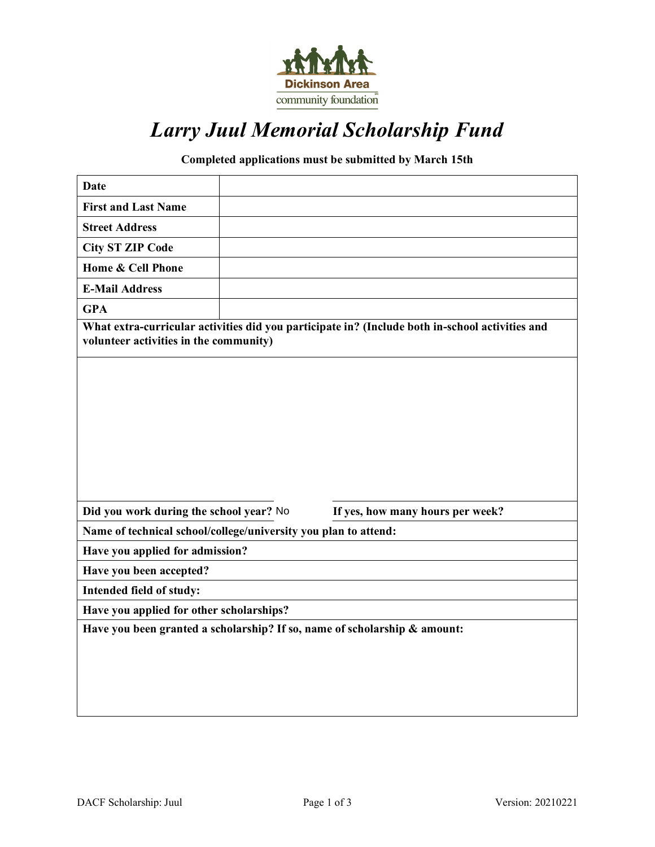

# *Larry Juul Memorial Scholarship Fund*

# **Completed applications must be submitted by March 15th**

| <b>Date</b>                                                                                                                               |  |                                  |  |
|-------------------------------------------------------------------------------------------------------------------------------------------|--|----------------------------------|--|
| <b>First and Last Name</b>                                                                                                                |  |                                  |  |
| <b>Street Address</b>                                                                                                                     |  |                                  |  |
| <b>City ST ZIP Code</b>                                                                                                                   |  |                                  |  |
| Home & Cell Phone                                                                                                                         |  |                                  |  |
| <b>E-Mail Address</b>                                                                                                                     |  |                                  |  |
| <b>GPA</b>                                                                                                                                |  |                                  |  |
| What extra-curricular activities did you participate in? (Include both in-school activities and<br>volunteer activities in the community) |  |                                  |  |
|                                                                                                                                           |  |                                  |  |
|                                                                                                                                           |  |                                  |  |
|                                                                                                                                           |  |                                  |  |
|                                                                                                                                           |  |                                  |  |
|                                                                                                                                           |  |                                  |  |
|                                                                                                                                           |  |                                  |  |
|                                                                                                                                           |  |                                  |  |
| Did you work during the school year? No                                                                                                   |  | If yes, how many hours per week? |  |
| Name of technical school/college/university you plan to attend:                                                                           |  |                                  |  |
| Have you applied for admission?                                                                                                           |  |                                  |  |
| Have you been accepted?                                                                                                                   |  |                                  |  |
| Intended field of study:                                                                                                                  |  |                                  |  |
| Have you applied for other scholarships?                                                                                                  |  |                                  |  |
| Have you been granted a scholarship? If so, name of scholarship & amount:                                                                 |  |                                  |  |
|                                                                                                                                           |  |                                  |  |
|                                                                                                                                           |  |                                  |  |
|                                                                                                                                           |  |                                  |  |
|                                                                                                                                           |  |                                  |  |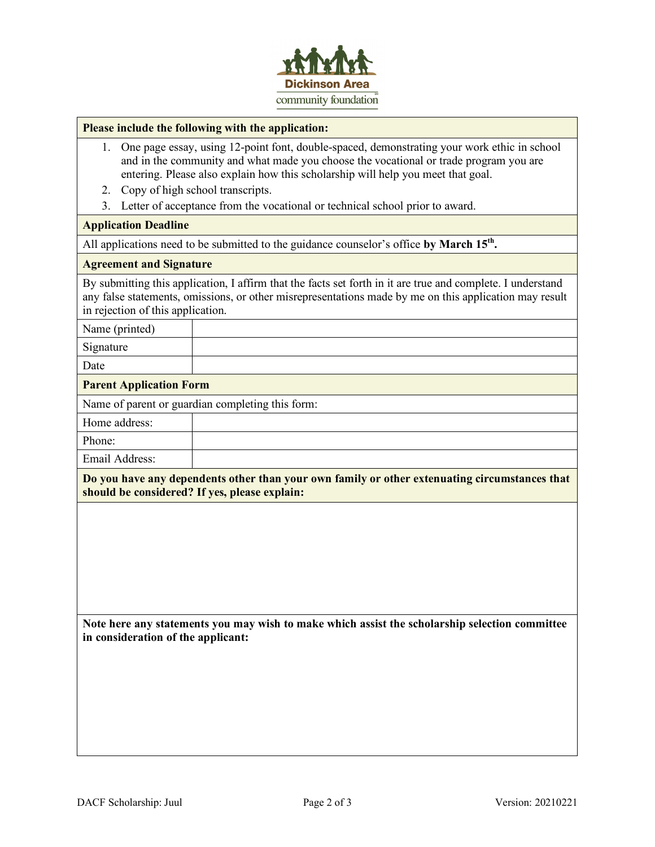

#### **Please include the following with the application:**

- 1. One page essay, using 12-point font, double-spaced, demonstrating your work ethic in school and in the community and what made you choose the vocational or trade program you are entering. Please also explain how this scholarship will help you meet that goal.
- 2. Copy of high school transcripts.
- 3. Letter of acceptance from the vocational or technical school prior to award.

#### **Application Deadline**

All applications need to be submitted to the guidance counselor's office by March 15<sup>th</sup>.

#### **Agreement and Signature**

By submitting this application, I affirm that the facts set forth in it are true and complete. I understand any false statements, omissions, or other misrepresentations made by me on this application may result in rejection of this application.

# Name (printed)

Signature

Date

#### **Parent Application Form**

Name of parent or guardian completing this form:

| Home address: |  |
|---------------|--|
| Phone:        |  |

Email Address:

**Do you have any dependents other than your own family or other extenuating circumstances that should be considered? If yes, please explain:**

**Note here any statements you may wish to make which assist the scholarship selection committee in consideration of the applicant:**